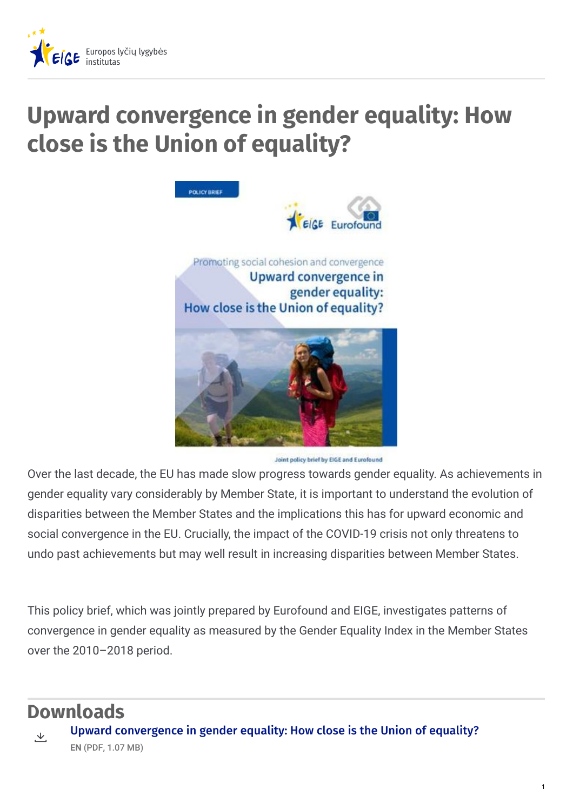

## **Upward convergence in gender equality: How close is the Union of equality?**



Joint policy brief by EIGE and Eurofound

Over the last decade, the EU has made slow progress towards gender equality. As achievements in gender equality vary considerably by Member State, it is important to understand the evolution of disparities between the Member States and the implications this has for upward economic and social convergence in the EU. Crucially, the impact of the COVID-19 crisis not only threatens to undo past achievements but may well result in increasing disparities between Member States.

This policy brief, which was jointly prepared by Eurofound and EIGE, investigates patterns of convergence in gender equality as measured by the Gender Equality Index in the Member States over the 2010–2018 period.

## **Downloads**



Upward [convergence](https://eige.europa.eu/sites/default/files/documents/20212410_mh0221599enn_pdf.pdf) in gender equality: How close is the Union of equality? **EN** (PDF, 1.07 MB)